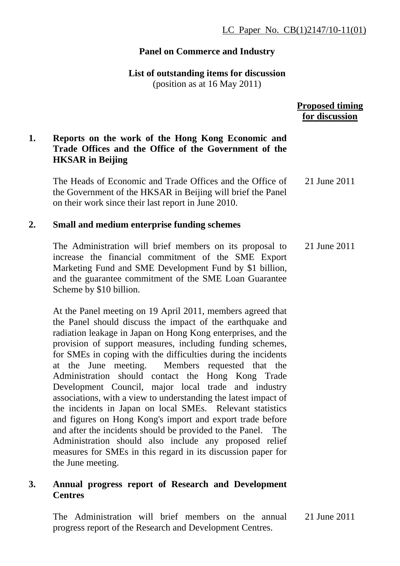# **Panel on Commerce and Industry**

**List of outstanding items for discussion** 

(position as at 16 May 2011)

 **Proposed timing for discussion**

# **1. Reports on the work of the Hong Kong Economic and Trade Offices and the Office of the Government of the HKSAR in Beijing**

The Heads of Economic and Trade Offices and the Office of the Government of the HKSAR in Beijing will brief the Panel on their work since their last report in June 2010. 21 June 2011

## **2. Small and medium enterprise funding schemes**

The Administration will brief members on its proposal to increase the financial commitment of the SME Export Marketing Fund and SME Development Fund by \$1 billion, and the guarantee commitment of the SME Loan Guarantee Scheme by \$10 billion. 21 June 2011

At the Panel meeting on 19 April 2011, members agreed that the Panel should discuss the impact of the earthquake and radiation leakage in Japan on Hong Kong enterprises, and the provision of support measures, including funding schemes, for SMEs in coping with the difficulties during the incidents at the June meeting. Members requested that the Administration should contact the Hong Kong Trade Development Council, major local trade and industry associations, with a view to understanding the latest impact of the incidents in Japan on local SMEs. Relevant statistics and figures on Hong Kong's import and export trade before and after the incidents should be provided to the Panel. The Administration should also include any proposed relief measures for SMEs in this regard in its discussion paper for the June meeting.

## **3. Annual progress report of Research and Development Centres**

The Administration will brief members on the annual progress report of the Research and Development Centres. 21 June 2011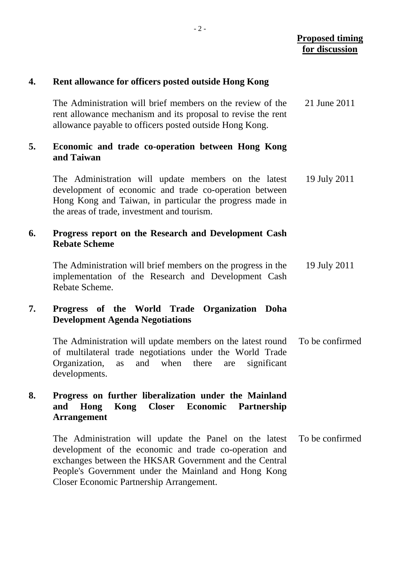### **4. Rent allowance for officers posted outside Hong Kong**

| The Administration will brief members on the review of the   | 21 June 2011 |
|--------------------------------------------------------------|--------------|
| rent allowance mechanism and its proposal to revise the rent |              |
| allowance payable to officers posted outside Hong Kong.      |              |

#### **5. Economic and trade co-operation between Hong Kong and Taiwan**

The Administration will update members on the latest development of economic and trade co-operation between Hong Kong and Taiwan, in particular the progress made in the areas of trade, investment and tourism. 19 July 2011

#### **6. Progress report on the Research and Development Cash Rebate Scheme**

The Administration will brief members on the progress in the implementation of the Research and Development Cash Rebate Scheme. 19 July 2011

### **7. Progress of the World Trade Organization Doha Development Agenda Negotiations**

The Administration will update members on the latest round of multilateral trade negotiations under the World Trade Organization, as and when there are significant developments. To be confirmed

### **8. Progress on further liberalization under the Mainland and Hong Kong Closer Economic Partnership Arrangement**

The Administration will update the Panel on the latest development of the economic and trade co-operation and exchanges between the HKSAR Government and the Central People's Government under the Mainland and Hong Kong Closer Economic Partnership Arrangement. To be confirmed